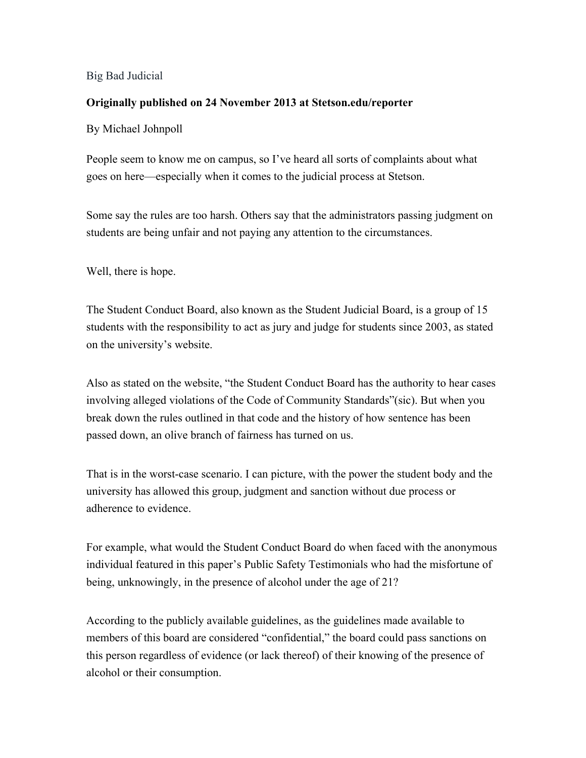## Big Bad Judicial

## **Originally published on 24 November 2013 at Stetson.edu/reporter**

## By Michael Johnpoll

People seem to know me on campus, so I've heard all sorts of complaints about what goes on here—especially when it comes to the judicial process at Stetson.

Some say the rules are too harsh. Others say that the administrators passing judgment on students are being unfair and not paying any attention to the circumstances.

Well, there is hope.

The Student Conduct Board, also known as the Student Judicial Board, is a group of 15 students with the responsibility to act as jury and judge for students since 2003, as stated on the university's website.

Also as stated on the website, "the Student Conduct Board has the authority to hear cases involving alleged violations of the Code of Community Standards"(sic). But when you break down the rules outlined in that code and the history of how sentence has been passed down, an olive branch of fairness has turned on us.

That is in the worst-case scenario. I can picture, with the power the student body and the university has allowed this group, judgment and sanction without due process or adherence to evidence.

For example, what would the Student Conduct Board do when faced with the anonymous individual featured in this paper's Public Safety Testimonials who had the misfortune of being, unknowingly, in the presence of alcohol under the age of 21?

According to the publicly available guidelines, as the guidelines made available to members of this board are considered "confidential," the board could pass sanctions on this person regardless of evidence (or lack thereof) of their knowing of the presence of alcohol or their consumption.